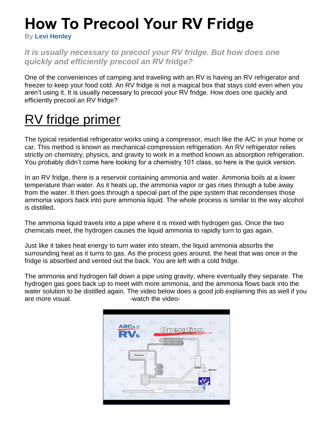# **How To Precool Your RV Fridge**

**By Levi Henley**

#### *It is usually necessary to precool your RV fridge. But how does one quickly and efficiently precool an RV fridge?*

One of the conveniences of camping and traveling with an RV is having an RV refrigerator and freezer to keep your food cold. An RV fridge is not a magical box that stays cold even when you aren't using it. It is usually necessary to precool your RV fridge. How does one quickly and efficiently precool an RV fridge?

# RV fridge primer

The typical residential refrigerator works using a compressor, much like the A/C in your home or car. This method is known as mechanical-compression refrigeration. An RV refrigerator relies strictly on chemistry, physics, and gravity to work in a method known as absorption refrigeration. You probably didn't come here looking for a chemistry 101 class, so here is the quick version.

In an RV fridge, there is a reservoir containing ammonia and water. Ammonia boils at a lower temperature than water. As it heats up, the ammonia vapor or gas rises through a tube away from the water. It then goes through a special part of the pipe system that recondenses those ammonia vapors back into pure ammonia liquid. The whole process is similar to the way alcohol is distilled.

The ammonia liquid travels into a pipe where it is mixed with hydrogen gas. Once the two chemicals meet, the hydrogen causes the liquid ammonia to rapidly turn to gas again.

Just like it takes heat energy to turn water into steam, the liquid ammonia absorbs the surrounding heat as it turns to gas. As the process goes around, the heat that was once in the fridge is absorbed and vented out the back. You are left with a cold fridge.

The ammonia and hydrogen fall down a pipe using gravity, where eventually they separate. The hydrogen gas goes back up to meet with more ammonia, and the ammonia flows back into the water solution to be distilled again. The video below does a good job explaining this as well if you are more visual.  $\qquad \qquad$  -watch the video-

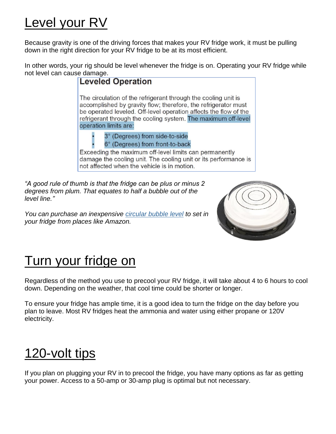#### Level your RV

Because gravity is one of the driving forces that makes your RV fridge work, it must be pulling down in the right direction for your RV fridge to be at its most efficient.

In other words, your rig should be level whenever the fridge is on. Operating your RV fridge while not level can cause damage.



*"A good rule of thumb is that the fridge can be plus or minus 2 degrees from plum. That equates to half a bubble out of the level line."*

*You can purchase an inexpensive [circular bubble level](https://amzn.to/34Im5Mm) to set in your fridge from places like Amazon.*



# Turn your fridge on

Regardless of the method you use to precool your RV fridge, it will take about 4 to 6 hours to cool down. Depending on the weather, that cool time could be shorter or longer.

To ensure your fridge has ample time, it is a good idea to turn the fridge on the day before you plan to leave. Most RV fridges heat the ammonia and water using either propane or 120V electricity.

# 120-volt tips

If you plan on plugging your RV in to precool the fridge, you have many options as far as getting your power. Access to a 50-amp or 30-amp plug is optimal but not necessary.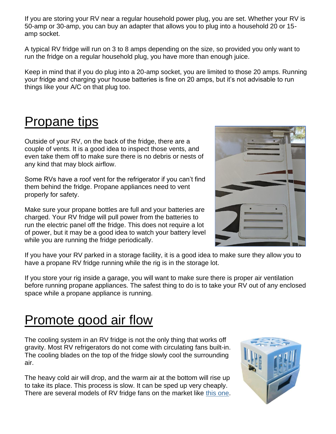If you are storing your RV near a regular household power plug, you are set. Whether your RV is 50-amp or 30-amp, you can buy an adapter that allows you to plug into a household 20 or 15 amp socket.

A typical RV fridge will run on 3 to 8 amps depending on the size, so provided you only want to run the fridge on a regular household plug, you have more than enough juice.

Keep in mind that if you do plug into a 20-amp socket, you are limited to those 20 amps. Running your fridge and charging your house batteries is fine on 20 amps, but it's not advisable to run things like your A/C on that plug too.

#### **Propane tips**

Outside of your RV, on the back of the fridge, there are a couple of vents. It is a good idea to inspect those vents, and even take them off to make sure there is no debris or nests of any kind that may block airflow.

Some RVs have a roof vent for the refrigerator if you can't find them behind the fridge. Propane appliances need to vent properly for safety.

Make sure your propane bottles are full and your batteries are charged. Your RV fridge will pull power from the batteries to run the electric panel off the fridge. This does not require a lot of power, but it may be a good idea to watch your battery level while you are running the fridge periodically.



If you have your RV parked in a storage facility, it is a good idea to make sure they allow you to have a propane RV fridge running while the rig is in the storage lot.

If you store your rig inside a garage, you will want to make sure there is proper air ventilation before running propane appliances. The safest thing to do is to take your RV out of any enclosed space while a propane appliance is running.

# Promote good air flow

The cooling system in an RV fridge is not the only thing that works off gravity. Most RV refrigerators do not come with circulating fans built-in. The cooling blades on the top of the fridge slowly cool the surrounding air.

The heavy cold air will drop, and the warm air at the bottom will rise up to take its place. This process is slow. It can be sped up very cheaply. There are several models of RV fridge fans on the market like [this one.](https://amzn.to/3hABnXs)